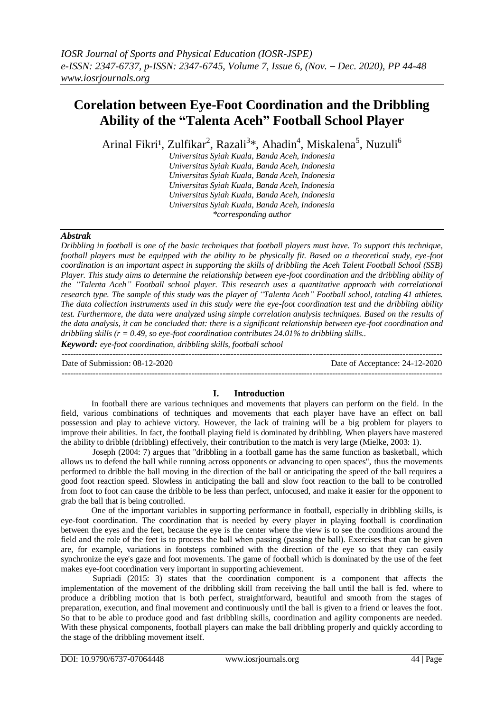# **Corelation between Eye-Foot Coordination and the Dribbling Ability of the "Talenta Aceh" Football School Player**

Arinal Fikri<sup>1</sup>, Zulfikar<sup>2</sup>, Razali<sup>3</sup>\*, Ahadin<sup>4</sup>, Miskalena<sup>5</sup>, Nuzuli<sup>6</sup>

*Universitas Syiah Kuala, Banda Aceh, Indonesia Universitas Syiah Kuala, Banda Aceh, Indonesia Universitas Syiah Kuala, Banda Aceh, Indonesia Universitas Syiah Kuala, Banda Aceh, Indonesia Universitas Syiah Kuala, Banda Aceh, Indonesia Universitas Syiah Kuala, Banda Aceh, Indonesia \*corresponding author*

#### *Abstrak*

*Dribbling in football is one of the basic techniques that football players must have. To support this technique, football players must be equipped with the ability to be physically fit. Based on a theoretical study, eye-foot coordination is an important aspect in supporting the skills of dribbling the Aceh Talent Football School (SSB) Player. This study aims to determine the relationship between eye-foot coordination and the dribbling ability of the "Talenta Aceh" Football school player. This research uses a quantitative approach with correlational research type. The sample of this study was the player of "Talenta Aceh" Football school, totaling 41 athletes. The data collection instruments used in this study were the eye-foot coordination test and the dribbling ability test. Furthermore, the data were analyzed using simple correlation analysis techniques. Based on the results of the data analysis, it can be concluded that: there is a significant relationship between eye-foot coordination and dribbling skills (r = 0.49, so eye-foot coordination contributes 24.01% to dribbling skills..*

*Keyword: eye-foot coordination, dribbling skills, football school*

Date of Submission: 08-12-2020 Date of Acceptance: 24-12-2020

### **I. Introduction**

---------------------------------------------------------------------------------------------------------------------------------------

---------------------------------------------------------------------------------------------------------------------------------------

In football there are various techniques and movements that players can perform on the field. In the field, various combinations of techniques and movements that each player have have an effect on ball possession and play to achieve victory. However, the lack of training will be a big problem for players to improve their abilities. In fact, the football playing field is dominated by dribbling. When players have mastered the ability to dribble (dribbling) effectively, their contribution to the match is very large (Mielke, 2003: 1).

Joseph (2004: 7) argues that "dribbling in a football game has the same function as basketball, which allows us to defend the ball while running across opponents or advancing to open spaces", thus the movements performed to dribble the ball moving in the direction of the ball or anticipating the speed of the ball requires a good foot reaction speed. Slowless in anticipating the ball and slow foot reaction to the ball to be controlled from foot to foot can cause the dribble to be less than perfect, unfocused, and make it easier for the opponent to grab the ball that is being controlled.

One of the important variables in supporting performance in football, especially in dribbling skills, is eye-foot coordination. The coordination that is needed by every player in playing football is coordination between the eyes and the feet, because the eye is the center where the view is to see the conditions around the field and the role of the feet is to process the ball when passing (passing the ball). Exercises that can be given are, for example, variations in footsteps combined with the direction of the eye so that they can easily synchronize the eye's gaze and foot movements. The game of football which is dominated by the use of the feet makes eye-foot coordination very important in supporting achievement.

Supriadi (2015: 3) states that the coordination component is a component that affects the implementation of the movement of the dribbling skill from receiving the ball until the ball is fed. where to produce a dribbling motion that is both perfect, straightforward, beautiful and smooth from the stages of preparation, execution, and final movement and continuously until the ball is given to a friend or leaves the foot. So that to be able to produce good and fast dribbling skills, coordination and agility components are needed. With these physical components, football players can make the ball dribbling properly and quickly according to the stage of the dribbling movement itself.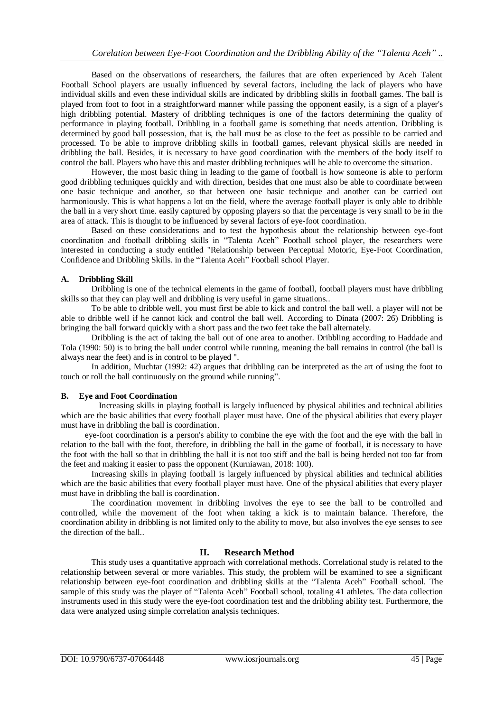Based on the observations of researchers, the failures that are often experienced by Aceh Talent Football School players are usually influenced by several factors, including the lack of players who have individual skills and even these individual skills are indicated by dribbling skills in football games. The ball is played from foot to foot in a straightforward manner while passing the opponent easily, is a sign of a player's high dribbling potential. Mastery of dribbling techniques is one of the factors determining the quality of performance in playing football. Dribbling in a football game is something that needs attention. Dribbling is determined by good ball possession, that is, the ball must be as close to the feet as possible to be carried and processed. To be able to improve dribbling skills in football games, relevant physical skills are needed in dribbling the ball. Besides, it is necessary to have good coordination with the members of the body itself to control the ball. Players who have this and master dribbling techniques will be able to overcome the situation.

However, the most basic thing in leading to the game of football is how someone is able to perform good dribbling techniques quickly and with direction, besides that one must also be able to coordinate between one basic technique and another, so that between one basic technique and another can be carried out harmoniously. This is what happens a lot on the field, where the average football player is only able to dribble the ball in a very short time. easily captured by opposing players so that the percentage is very small to be in the area of attack. This is thought to be influenced by several factors of eye-foot coordination.

Based on these considerations and to test the hypothesis about the relationship between eye-foot coordination and football dribbling skills in "Talenta Aceh" Football school player, the researchers were interested in conducting a study entitled "Relationship between Perceptual Motoric, Eye-Foot Coordination, Confidence and Dribbling Skills. in the "Talenta Aceh" Football school Player.

## **A. Dribbling Skill**

Dribbling is one of the technical elements in the game of football, football players must have dribbling skills so that they can play well and dribbling is very useful in game situations..

To be able to dribble well, you must first be able to kick and control the ball well. a player will not be able to dribble well if he cannot kick and control the ball well. According to Dinata (2007: 26) Dribbling is bringing the ball forward quickly with a short pass and the two feet take the ball alternately.

Dribbling is the act of taking the ball out of one area to another. Dribbling according to Haddade and Tola (1990: 50) is to bring the ball under control while running, meaning the ball remains in control (the ball is always near the feet) and is in control to be played ".

In addition, Muchtar (1992: 42) argues that dribbling can be interpreted as the art of using the foot to touch or roll the ball continuously on the ground while running".

### **B. Eye and Foot Coordination**

Increasing skills in playing football is largely influenced by physical abilities and technical abilities which are the basic abilities that every football player must have. One of the physical abilities that every player must have in dribbling the ball is coordination.

eye-foot coordination is a person's ability to combine the eye with the foot and the eye with the ball in relation to the ball with the foot, therefore, in dribbling the ball in the game of football, it is necessary to have the foot with the ball so that in dribbling the ball it is not too stiff and the ball is being herded not too far from the feet and making it easier to pass the opponent (Kurniawan, 2018: 100).

Increasing skills in playing football is largely influenced by physical abilities and technical abilities which are the basic abilities that every football player must have. One of the physical abilities that every player must have in dribbling the ball is coordination.

The coordination movement in dribbling involves the eye to see the ball to be controlled and controlled, while the movement of the foot when taking a kick is to maintain balance. Therefore, the coordination ability in dribbling is not limited only to the ability to move, but also involves the eye senses to see the direction of the ball..

### **II. Research Method**

This study uses a quantitative approach with correlational methods. Correlational study is related to the relationship between several or more variables. This study, the problem will be examined to see a significant relationship between eye-foot coordination and dribbling skills at the "Talenta Aceh" Football school. The sample of this study was the player of "Talenta Aceh" Football school, totaling 41 athletes. The data collection instruments used in this study were the eye-foot coordination test and the dribbling ability test. Furthermore, the data were analyzed using simple correlation analysis techniques.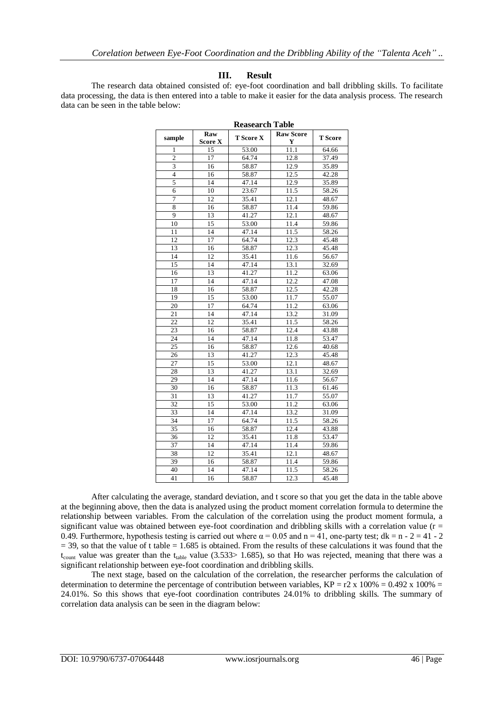### **III. Result**

The research data obtained consisted of: eye-foot coordination and ball dribbling skills. To facilitate data processing, the data is then entered into a table to make it easier for the data analysis process. The research data can be seen in the table below:

| Reasearch Table |                       |                  |                                 |                    |
|-----------------|-----------------------|------------------|---------------------------------|--------------------|
| sample          | Raw<br><b>Score X</b> | <b>T</b> Score X | <b>Raw Score</b><br>$\mathbf Y$ | <b>T</b> Score     |
| 1               | 15                    | 53.00            | 11.1                            | 64.66              |
| $\overline{2}$  | 17                    | 64.74            | 12.8                            | 37.49              |
| 3               | $\overline{16}$       | 58.87            | 12.9                            | 35.89              |
| $\overline{4}$  | 16                    | 58.87            | 12.5                            | 42.28              |
| 5               | 14                    | 47.14            | 12.9                            | 35.89              |
| 6               | 10                    | 23.67            | 11.5                            | 58.26              |
| $\overline{7}$  | 12                    | 35.41            | 12.1                            | 48.67              |
| 8               | 16                    | 58.87            | 11.4                            | 59.86              |
| $\overline{9}$  | 13                    | 41.27            | 12.1                            | 48.67              |
| 10              | 15                    | 53.00            | 11.4                            | 59.86              |
| 11              | 14                    | 47.14            | 11.5                            | 58.26              |
| 12              | 17                    | 64.74            | 12.3                            | 45.48              |
| 13              | 16                    | 58.87            | 12.3                            | 45.48              |
| 14              | 12                    | 35.41            | 11.6                            | $\overline{56.67}$ |
| 15              | 14                    | 47.14            | 13.1                            | 32.69              |
| 16              | 13                    | 41.27            | 11.2                            | 63.06              |
| 17              | 14                    | 47.14            | 12.2                            | 47.08              |
| 18              | 16                    | 58.87            | 12.5                            | 42.28              |
| 19              | 15                    | 53.00            | 11.7                            | 55.07              |
| 20              | 17                    | 64.74            | 11.2                            | 63.06              |
| 21              | 14                    | 47.14            | 13.2                            | 31.09              |
| 22              | 12                    | 35.41            | 11.5                            | 58.26              |
| 23              | 16                    | 58.87            | 12.4                            | 43.88              |
| 24              | 14                    | 47.14            | 11.8                            | 53.47              |
| 25              | 16                    | 58.87            | 12.6                            | 40.68              |
| 26              | 13                    | 41.27            | 12.3                            | 45.48              |
| 27              | $\overline{15}$       | 53.00            | 12.1                            | 48.67              |
| 28              | 13                    | 41.27            | 13.1                            | 32.69              |
| 29              | 14                    | 47.14            | 11.6                            | 56.67              |
| 30              | 16                    | 58.87            | 11.3                            | 61.46              |
| 31              | 13                    | 41.27            | 11.7                            | 55.07              |
| 32              | 15                    | 53.00            | 11.2                            | 63.06              |
| 33              | 14                    | 47.14            | 13.2                            | 31.09              |
| 34              | 17                    | 64.74            | 11.5                            | 58.26              |
| $\overline{35}$ | 16                    | 58.87            | 12.4                            | 43.88              |
| 36              | 12                    | 35.41            | 11.8                            | 53.47              |
| 37              | 14                    | 47.14            | 11.4                            | 59.86              |
| 38              | 12                    | 35.41            | 12.1                            | 48.67              |
| 39              | 16                    | 58.87            | 11.4                            | 59.86              |
| 40              | 14                    | 47.14            | 11.5                            | 58.26              |
| 41              | 16                    | 58.87            | 12.3                            | 45.48              |

**Reasearch Table**

After calculating the average, standard deviation, and t score so that you get the data in the table above at the beginning above, then the data is analyzed using the product moment correlation formula to determine the relationship between variables. From the calculation of the correlation using the product moment formula, a significant value was obtained between eye-foot coordination and dribbling skills with a correlation value ( $r =$ 0.49. Furthermore, hypothesis testing is carried out where  $\alpha = 0.05$  and  $n = 41$ , one-party test; dk = n - 2 = 41 - 2  $=$  39, so that the value of t table  $=$  1.685 is obtained. From the results of these calculations it was found that the  $t_{\text{count}}$  value was greater than the  $t_{\text{table}}$  value (3.533> 1.685), so that Ho was rejected, meaning that there was a significant relationship between eye-foot coordination and dribbling skills.

The next stage, based on the calculation of the correlation, the researcher performs the calculation of determination to determine the percentage of contribution between variables,  $KP = r2 \times 100\% = 0.492 \times 100\% =$ 24.01%. So this shows that eye-foot coordination contributes 24.01% to dribbling skills. The summary of correlation data analysis can be seen in the diagram below: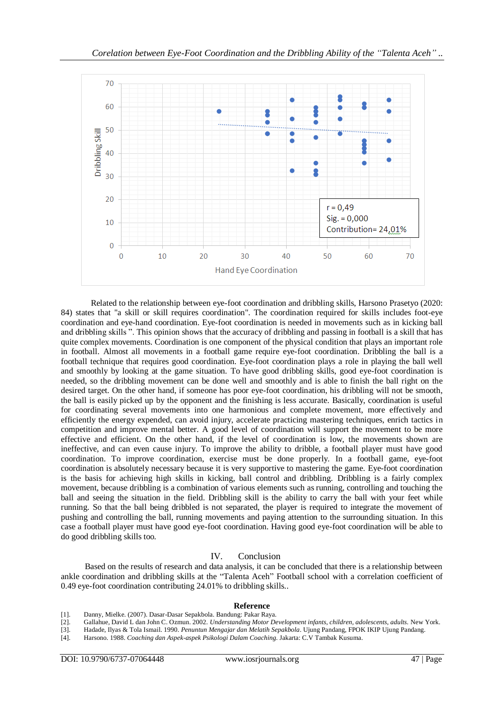

Related to the relationship between eye-foot coordination and dribbling skills, Harsono Prasetyo (2020: 84) states that "a skill or skill requires coordination". The coordination required for skills includes foot-eye coordination and eye-hand coordination. Eye-foot coordination is needed in movements such as in kicking ball and dribbling skills ". This opinion shows that the accuracy of dribbling and passing in football is a skill that has quite complex movements. Coordination is one component of the physical condition that plays an important role in football. Almost all movements in a football game require eye-foot coordination. Dribbling the ball is a football technique that requires good coordination. Eye-foot coordination plays a role in playing the ball well and smoothly by looking at the game situation. To have good dribbling skills, good eye-foot coordination is needed, so the dribbling movement can be done well and smoothly and is able to finish the ball right on the desired target. On the other hand, if someone has poor eye-foot coordination, his dribbling will not be smooth, the ball is easily picked up by the opponent and the finishing is less accurate. Basically, coordination is useful for coordinating several movements into one harmonious and complete movement, more effectively and efficiently the energy expended, can avoid injury, accelerate practicing mastering techniques, enrich tactics in competition and improve mental better. A good level of coordination will support the movement to be more effective and efficient. On the other hand, if the level of coordination is low, the movements shown are ineffective, and can even cause injury. To improve the ability to dribble, a football player must have good coordination. To improve coordination, exercise must be done properly. In a football game, eye-foot coordination is absolutely necessary because it is very supportive to mastering the game. Eye-foot coordination is the basis for achieving high skills in kicking, ball control and dribbling. Dribbling is a fairly complex movement, because dribbling is a combination of various elements such as running, controlling and touching the ball and seeing the situation in the field. Dribbling skill is the ability to carry the ball with your feet while running. So that the ball being dribbled is not separated, the player is required to integrate the movement of pushing and controlling the ball, running movements and paying attention to the surrounding situation. In this case a football player must have good eye-foot coordination. Having good eye-foot coordination will be able to do good dribbling skills too*.*

### IV. Conclusion

Based on the results of research and data analysis, it can be concluded that there is a relationship between ankle coordination and dribbling skills at the "Talenta Aceh" Football school with a correlation coefficient of 0.49 eye-foot coordination contributing 24.01% to dribbling skills..

#### **Reference**

- [1]. Danny, Mielke. (2007). Dasar-Dasar Sepakbola. Bandung: Pakar Raya.
- [2]. Gallahue, David L dan John C. Ozmun. 2002. *Understanding Motor Development infants, children, adolescents, adults.* New York.
- [3]. Hadade, Ilyas & Tola Ismail. 1990. *Penuntun Mengajar dan Melatih Sepakbola*. Ujung Pandang, FPOK IKIP Ujung Pandang.
- [4]. Harsono. 1988. *Coaching dan Aspek-aspek Psikologi Dalam Coaching.* Jakarta: C.V Tambak Kusuma.